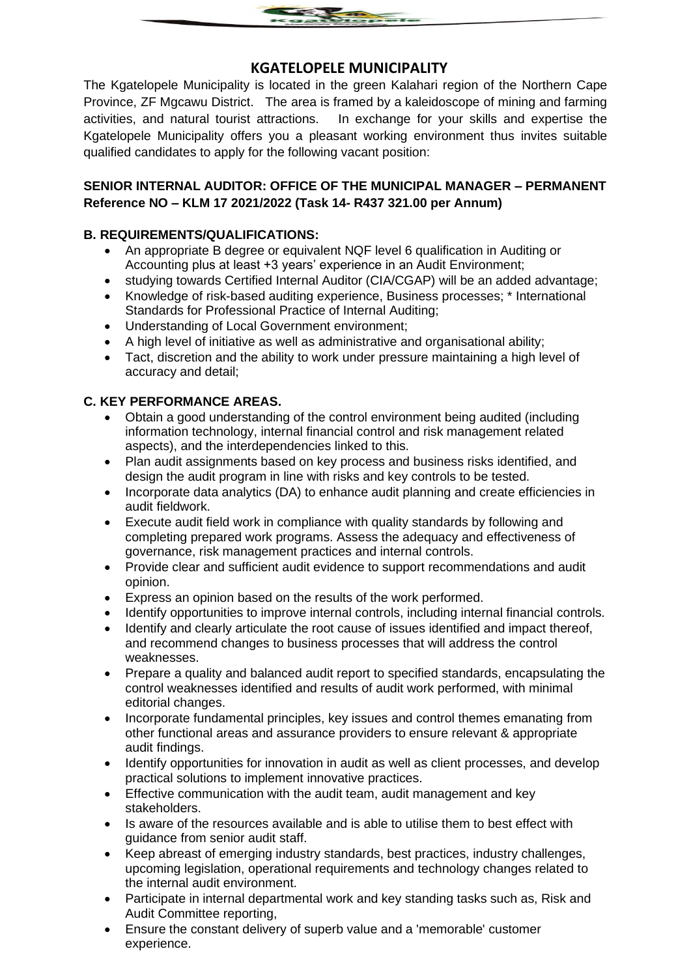

# **KGATELOPELE MUNICIPALITY**

The Kgatelopele Municipality is located in the green Kalahari region of the Northern Cape Province, ZF Mgcawu District. The area is framed by a kaleidoscope of mining and farming activities, and natural tourist attractions. In exchange for your skills and expertise the Kgatelopele Municipality offers you a pleasant working environment thus invites suitable qualified candidates to apply for the following vacant position:

## **SENIOR INTERNAL AUDITOR: OFFICE OF THE MUNICIPAL MANAGER – PERMANENT Reference NO – KLM 17 2021/2022 (Task 14- R437 321.00 per Annum)**

### **B. REQUIREMENTS/QUALIFICATIONS:**

- An appropriate B degree or equivalent NQF level 6 qualification in Auditing or Accounting plus at least +3 years' experience in an Audit Environment;
- studying towards Certified Internal Auditor (CIA/CGAP) will be an added advantage;
- Knowledge of risk-based auditing experience, Business processes; \* International Standards for Professional Practice of Internal Auditing;
- Understanding of Local Government environment;
- A high level of initiative as well as administrative and organisational ability;
- Tact, discretion and the ability to work under pressure maintaining a high level of accuracy and detail;

### **C. KEY PERFORMANCE AREAS.**

- Obtain a good understanding of the control environment being audited (including information technology, internal financial control and risk management related aspects), and the interdependencies linked to this.
- Plan audit assignments based on key process and business risks identified, and design the audit program in line with risks and key controls to be tested.
- Incorporate data analytics (DA) to enhance audit planning and create efficiencies in audit fieldwork.
- Execute audit field work in compliance with quality standards by following and completing prepared work programs. Assess the adequacy and effectiveness of governance, risk management practices and internal controls.
- Provide clear and sufficient audit evidence to support recommendations and audit opinion.
- Express an opinion based on the results of the work performed.
- Identify opportunities to improve internal controls, including internal financial controls.
- Identify and clearly articulate the root cause of issues identified and impact thereof, and recommend changes to business processes that will address the control weaknesses.
- Prepare a quality and balanced audit report to specified standards, encapsulating the control weaknesses identified and results of audit work performed, with minimal editorial changes.
- Incorporate fundamental principles, key issues and control themes emanating from other functional areas and assurance providers to ensure relevant & appropriate audit findings.
- Identify opportunities for innovation in audit as well as client processes, and develop practical solutions to implement innovative practices.
- Effective communication with the audit team, audit management and key stakeholders.
- Is aware of the resources available and is able to utilise them to best effect with guidance from senior audit staff.
- Keep abreast of emerging industry standards, best practices, industry challenges, upcoming legislation, operational requirements and technology changes related to the internal audit environment.
- Participate in internal departmental work and key standing tasks such as, Risk and Audit Committee reporting,
- Ensure the constant delivery of superb value and a 'memorable' customer experience.